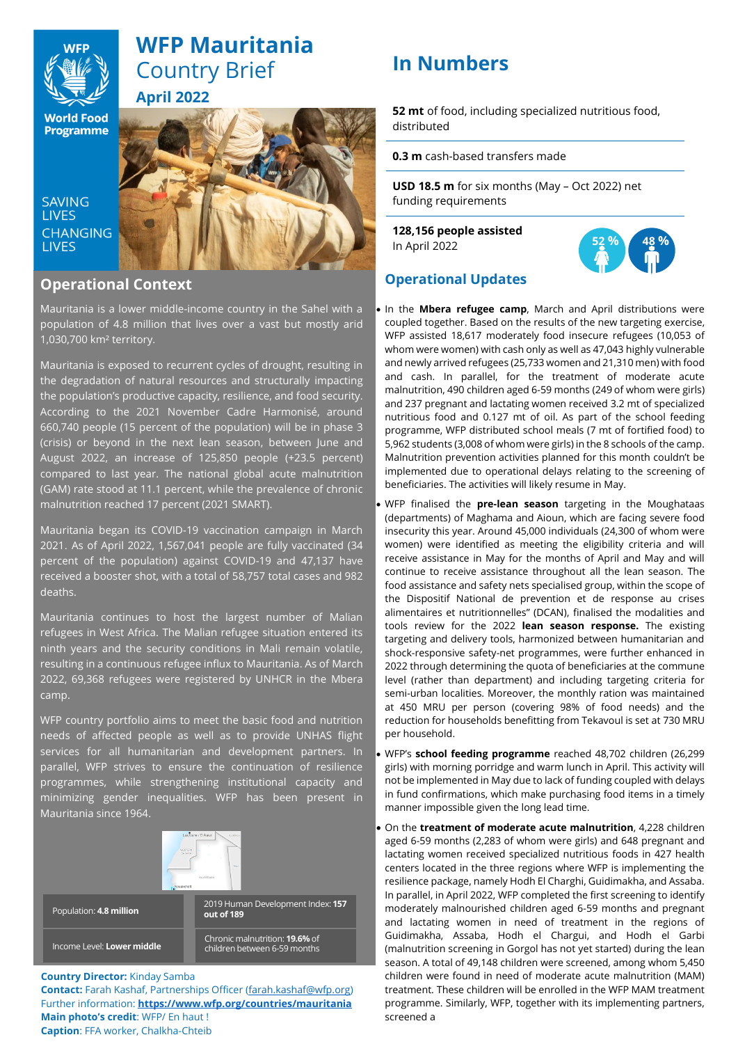

# **WFP Mauritania** Country Brief **April 2022**

**World Food Programme** 

**SAVING LIVES CHANGING LIVES** 



# **Operational Context**

Mauritania is a lower middle-income country in the Sahel with a population of 4.8 million that lives over a vast but mostly arid 1,030,700 km² territory.

Mauritania is exposed to recurrent cycles of drought, resulting in the degradation of natural resources and structurally impacting the population's productive capacity, resilience, and food security. According to the 2021 November Cadre Harmonisé, around 660,740 people (15 percent of the population) will be in phase 3 (crisis) or beyond in the next lean season, between June and August 2022, an increase of 125,850 people (+23.5 percent) compared to last year. The national global acute malnutrition (GAM) rate stood at 11.1 percent, while the prevalence of chronic malnutrition reached 17 percent (2021 SMART).

Mauritania began its COVID-19 vaccination campaign in March 2021. As of April 2022, 1,567,041 people are fully vaccinated (34 percent of the population) against COVID-19 and 47,137 have received a booster shot, with a total of 58,757 total cases and 982 deaths.

Mauritania continues to host the largest number of Malian refugees in West Africa. The Malian refugee situation entered its ninth years and the security conditions in Mali remain volatile, resulting in a continuous refugee influx to Mauritania. As of March 2022, 69,368 refugees were registered by UNHCR in the Mbera camp.

WFP country portfolio aims to meet the basic food and nutrition needs of affected people as well as to provide UNHAS flight services for all humanitarian and development partners. In parallel, WFP strives to ensure the continuation of resilience programmes, while strengthening institutional capacity and minimizing gender inequalities. WFP has been present in Mauritania since 1964.



# **Country Director:** Kinday Samba

**Contact:** Farah Kashaf, Partnerships Officer [\(farah.kashaf@wfp.org\)](mailto:farah.kashaf@wfp.org) Further information: **<https://www.wfp.org/countries/mauritania> Main photo's credit**: WFP/ En haut ! **Caption**: FFA worker, Chalkha-Chteib

# **In Numbers**<sup>²</sup>

**52 mt** of food, including specialized nutritious food, distributed

**0.3 m** cash-based transfers made

**USD 18.5 m** for six months (May – Oct 2022) net funding requirements

**128,156 people assisted**  In April 2022



# **Operational Updates**

- In the **Mbera refugee camp**, March and April distributions were coupled together. Based on the results of the new targeting exercise, WFP assisted 18,617 moderately food insecure refugees (10,053 of whom were women) with cash only as well as 47,043 highly vulnerable and newly arrived refugees (25,733 women and 21,310 men) with food and cash. In parallel, for the treatment of moderate acute malnutrition, 490 children aged 6-59 months (249 of whom were girls) and 237 pregnant and lactating women received 3.2 mt of specialized nutritious food and 0.127 mt of oil. As part of the school feeding programme, WFP distributed school meals (7 mt of fortified food) to 5,962 students (3,008 of whom were girls) in the 8 schools of the camp. Malnutrition prevention activities planned for this month couldn't be implemented due to operational delays relating to the screening of beneficiaries. The activities will likely resume in May.
- WFP finalised the **pre-lean season** targeting in the Moughataas (departments) of Maghama and Aioun, which are facing severe food insecurity this year. Around 45,000 individuals (24,300 of whom were women) were identified as meeting the eligibility criteria and will receive assistance in May for the months of April and May and will continue to receive assistance throughout all the lean season. The food assistance and safety nets specialised group, within the scope of the Dispositif National de prevention et de response au crises alimentaires et nutritionnelles" (DCAN), finalised the modalities and tools review for the 2022 **lean season response.** The existing targeting and delivery tools, harmonized between humanitarian and shock-responsive safety-net programmes, were further enhanced in 2022 through determining the quota of beneficiaries at the commune level (rather than department) and including targeting criteria for semi-urban localities. Moreover, the monthly ration was maintained at 450 MRU per person (covering 98% of food needs) and the reduction for households benefitting from Tekavoul is set at 730 MRU per household.
- WFP's **school feeding programme** reached 48,702 children (26,299 girls) with morning porridge and warm lunch in April. This activity will not be implemented in May due to lack of funding coupled with delays in fund confirmations, which make purchasing food items in a timely manner impossible given the long lead time.
- On the **treatment of moderate acute malnutrition**, 4,228 children aged 6-59 months (2,283 of whom were girls) and 648 pregnant and lactating women received specialized nutritious foods in 427 health centers located in the three regions where WFP is implementing the resilience package, namely Hodh El Charghi, Guidimakha, and Assaba. In parallel, in April 2022, WFP completed the first screening to identify moderately malnourished children aged 6-59 months and pregnant and lactating women in need of treatment in the regions of Guidimakha, Assaba, Hodh el Chargui, and Hodh el Garbi (malnutrition screening in Gorgol has not yet started) during the lean season. A total of 49,148 children were screened, among whom 5,450 children were found in need of moderate acute malnutrition (MAM) treatment. These children will be enrolled in the WFP MAM treatment programme. Similarly, WFP, together with its implementing partners, screened a